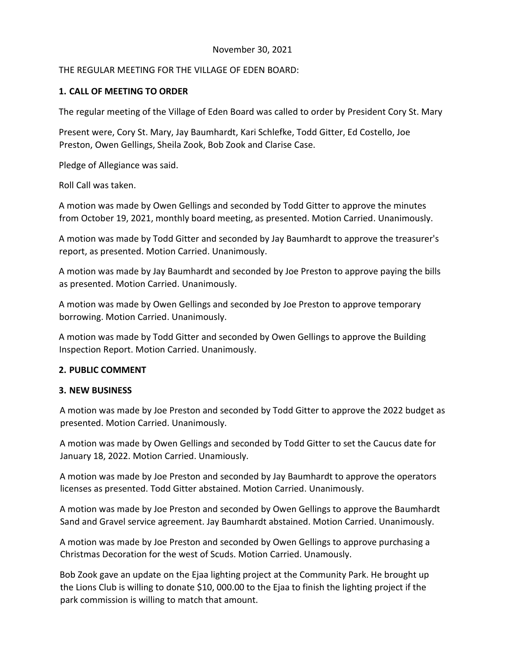## November 30, 2021

# THE REGULAR MEETING FOR THE VILLAGE OF EDEN BOARD:

# **1. CALL OF MEETING TO ORDER**

The regular meeting of the Village of Eden Board was called to order by President Cory St. Mary

Present were, Cory St. Mary, Jay Baumhardt, Kari Schlefke, Todd Gitter, Ed Costello, Joe Preston, Owen Gellings, Sheila Zook, Bob Zook and Clarise Case.

Pledge of Allegiance was said.

Roll Call was taken.

A motion was made by Owen Gellings and seconded by Todd Gitter to approve the minutes from October 19, 2021, monthly board meeting, as presented. Motion Carried. Unanimously.

A motion was made by Todd Gitter and seconded by Jay Baumhardt to approve the treasurer's report, as presented. Motion Carried. Unanimously.

A motion was made by Jay Baumhardt and seconded by Joe Preston to approve paying the bills as presented. Motion Carried. Unanimously.

A motion was made by Owen Gellings and seconded by Joe Preston to approve temporary borrowing. Motion Carried. Unanimously.

A motion was made by Todd Gitter and seconded by Owen Gellings to approve the Building Inspection Report. Motion Carried. Unanimously.

## **2. PUBLIC COMMENT**

## **3. NEW BUSINESS**

A motion was made by Joe Preston and seconded by Todd Gitter to approve the 2022 budget as presented. Motion Carried. Unanimously.

A motion was made by Owen Gellings and seconded by Todd Gitter to set the Caucus date for January 18, 2022. Motion Carried. Unamiously.

A motion was made by Joe Preston and seconded by Jay Baumhardt to approve the operators licenses as presented. Todd Gitter abstained. Motion Carried. Unanimously.

A motion was made by Joe Preston and seconded by Owen Gellings to approve the Baumhardt Sand and Gravel service agreement. Jay Baumhardt abstained. Motion Carried. Unanimously.

A motion was made by Joe Preston and seconded by Owen Gellings to approve purchasing a Christmas Decoration for the west of Scuds. Motion Carried. Unamously.

Bob Zook gave an update on the Ejaa lighting project at the Community Park. He brought up the Lions Club is willing to donate \$10, 000.00 to the Ejaa to finish the lighting project if the park commission is willing to match that amount.